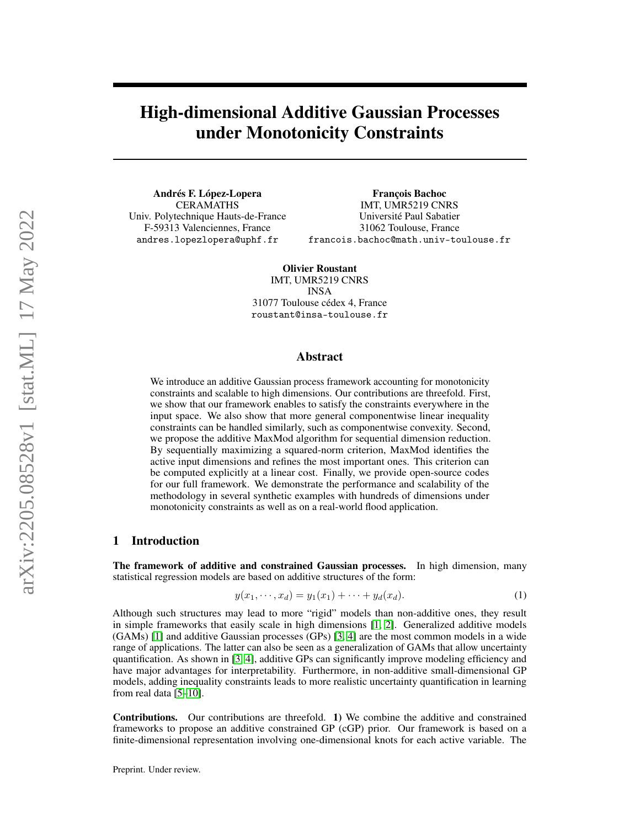# High-dimensional Additive Gaussian Processes under Monotonicity Constraints

Andrés F. López-Lopera CERAMATHS Univ. Polytechnique Hauts-de-France F-59313 Valenciennes, France andres.lopezlopera@uphf.fr

François Bachoc IMT, UMR5219 CNRS Université Paul Sabatier 31062 Toulouse, France francois.bachoc@math.univ-toulouse.fr

Olivier Roustant IMT, UMR5219 CNRS INSA 31077 Toulouse cédex 4, France roustant@insa-toulouse.fr

# Abstract

We introduce an additive Gaussian process framework accounting for monotonicity constraints and scalable to high dimensions. Our contributions are threefold. First, we show that our framework enables to satisfy the constraints everywhere in the input space. We also show that more general componentwise linear inequality constraints can be handled similarly, such as componentwise convexity. Second, we propose the additive MaxMod algorithm for sequential dimension reduction. By sequentially maximizing a squared-norm criterion, MaxMod identifies the active input dimensions and refines the most important ones. This criterion can be computed explicitly at a linear cost. Finally, we provide open-source codes for our full framework. We demonstrate the performance and scalability of the methodology in several synthetic examples with hundreds of dimensions under monotonicity constraints as well as on a real-world flood application.

# 1 Introduction

The framework of additive and constrained Gaussian processes. In high dimension, many statistical regression models are based on additive structures of the form:

<span id="page-0-0"></span>
$$
y(x_1, \dots, x_d) = y_1(x_1) + \dots + y_d(x_d). \tag{1}
$$

Although such structures may lead to more "rigid" models than non-additive ones, they result in simple frameworks that easily scale in high dimensions [\[1,](#page-9-0) [2\]](#page-9-1). Generalized additive models (GAMs) [\[1\]](#page-9-0) and additive Gaussian processes (GPs) [\[3,](#page-9-2) [4\]](#page-9-3) are the most common models in a wide range of applications. The latter can also be seen as a generalization of GAMs that allow uncertainty quantification. As shown in [\[3,](#page-9-2) [4\]](#page-9-3), additive GPs can significantly improve modeling efficiency and have major advantages for interpretability. Furthermore, in non-additive small-dimensional GP models, adding inequality constraints leads to more realistic uncertainty quantification in learning from real data [\[5–](#page-9-4)[10\]](#page-9-5).

Contributions. Our contributions are threefold. 1) We combine the additive and constrained frameworks to propose an additive constrained GP (cGP) prior. Our framework is based on a finite-dimensional representation involving one-dimensional knots for each active variable. The

Preprint. Under review.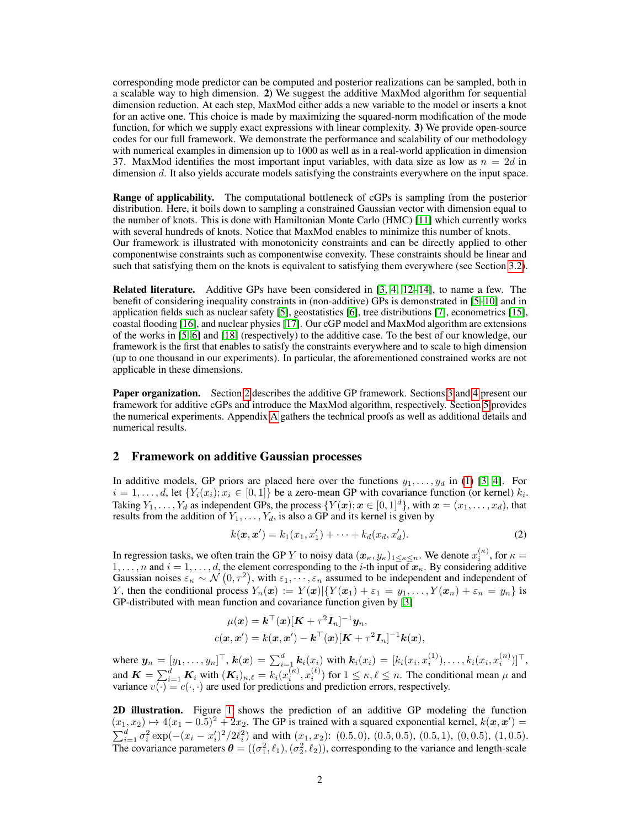corresponding mode predictor can be computed and posterior realizations can be sampled, both in a scalable way to high dimension. 2) We suggest the additive MaxMod algorithm for sequential dimension reduction. At each step, MaxMod either adds a new variable to the model or inserts a knot for an active one. This choice is made by maximizing the squared-norm modification of the mode function, for which we supply exact expressions with linear complexity. 3) We provide open-source codes for our full framework. We demonstrate the performance and scalability of our methodology with numerical examples in dimension up to 1000 as well as in a real-world application in dimension 37. MaxMod identifies the most important input variables, with data size as low as  $n = 2d$  in dimension d. It also yields accurate models satisfying the constraints everywhere on the input space.

Range of applicability. The computational bottleneck of cGPs is sampling from the posterior distribution. Here, it boils down to sampling a constrained Gaussian vector with dimension equal to the number of knots. This is done with Hamiltonian Monte Carlo (HMC) [\[11\]](#page-9-6) which currently works with several hundreds of knots. Notice that MaxMod enables to minimize this number of knots. Our framework is illustrated with monotonicity constraints and can be directly applied to other componentwise constraints such as componentwise convexity. These constraints should be linear and such that satisfying them on the knots is equivalent to satisfying them everywhere (see Section [3.2\)](#page-2-0).

**Related literature.** Additive GPs have been considered in  $[3, 4, 12-14]$  $[3, 4, 12-14]$  $[3, 4, 12-14]$  $[3, 4, 12-14]$  $[3, 4, 12-14]$ , to name a few. The benefit of considering inequality constraints in (non-additive) GPs is demonstrated in [\[5–](#page-9-4)[10\]](#page-9-5) and in application fields such as nuclear safety [\[5\]](#page-9-4), geostatistics [\[6\]](#page-9-9), tree distributions [\[7\]](#page-9-10), econometrics [\[15\]](#page-9-11), coastal flooding [\[16\]](#page-10-0), and nuclear physics [\[17\]](#page-10-1). Our cGP model and MaxMod algorithm are extensions of the works in [\[5,](#page-9-4) [6\]](#page-9-9) and [\[18\]](#page-10-2) (respectively) to the additive case. To the best of our knowledge, our framework is the first that enables to satisfy the constraints everywhere and to scale to high dimension (up to one thousand in our experiments). In particular, the aforementioned constrained works are not applicable in these dimensions.

**Paper organization.** Section [2](#page-1-0) describes the additive GP framework. Sections [3](#page-2-1) and [4](#page-4-0) present our framework for additive cGPs and introduce the MaxMod algorithm, respectively. Section [5](#page-5-0) provides the numerical experiments. Appendix [A](#page-11-0) gathers the technical proofs as well as additional details and numerical results.

# <span id="page-1-0"></span>2 Framework on additive Gaussian processes

In additive models, GP priors are placed here over the functions  $y_1, \ldots, y_d$  in [\(1\)](#page-0-0) [\[3,](#page-9-2) [4\]](#page-9-3). For  $i = 1, \ldots, d$ , let  $\{Y_i(x_i); x_i \in [0, 1]\}$  be a zero-mean GP with covariance function (or kernel)  $k_i$ . Taking  $Y_1, \ldots, Y_d$  as independent GPs, the process  $\{Y(\bm{x}); \bm{x} \in [0,1]^d\}$ , with  $\bm{x} = (x_1, \ldots, x_d)$ , that results from the addition of  $Y_1, \ldots, Y_d$ , is also a GP and its kernel is given by

$$
k(\mathbf{x}, \mathbf{x}') = k_1(x_1, x'_1) + \dots + k_d(x_d, x'_d). \tag{2}
$$

In regression tasks, we often train the GP Y to noisy data  $(x_\kappa, y_\kappa)_{1\leq \kappa\leq n}$ . We denote  $x_i^{(\kappa)}$ , for  $\kappa =$ 1, ..., n and  $i = 1, \ldots, d$ , the element corresponding to the *i*-th input of  $x_{\kappa}$ . By considering additive Gaussian noises  $\varepsilon_k \sim \mathcal{N}(0, \tau^2)$ , with  $\varepsilon_1, \dots, \varepsilon_n$  assumed to be independent and independent of Y, then the conditional process  $Y_n(x) := Y(x) | \{ Y(x_1) + \varepsilon_1 = y_1, \ldots, Y(x_n) + \varepsilon_n = y_n \}$  is GP-distributed with mean function and covariance function given by [\[3\]](#page-9-2)

$$
\mu(\boldsymbol{x}) = \boldsymbol{k}^{\top}(\boldsymbol{x})[\boldsymbol{K} + \tau^2 \boldsymbol{I}_n]^{-1} \boldsymbol{y}_n,
$$
  

$$
c(\boldsymbol{x}, \boldsymbol{x}') = k(\boldsymbol{x}, \boldsymbol{x}') - \boldsymbol{k}^{\top}(\boldsymbol{x})[\boldsymbol{K} + \tau^2 \boldsymbol{I}_n]^{-1} \boldsymbol{k}(\boldsymbol{x}),
$$

where  $y_n = [y_1, \ldots, y_n]^\top$ ,  $k(x) = \sum_{i=1}^d k_i(x_i)$  with  $k_i(x_i) = [k_i(x_i, x_i^{(1)}), \ldots, k_i(x_i, x_i^{(n)})]^\top$ , and  $K = \sum_{i=1}^d K_i$  with  $(K_i)_{\kappa,\ell} = k_i(x_i^{(\kappa)}, x_i^{(\ell)})$  for  $1 \leq \kappa, \ell \leq n$ . The conditional mean  $\mu$  and variance  $v(\cdot) = c(\cdot, \cdot)$  are used for predictions and prediction errors, respectively.

2D illustration. Figure [1](#page-2-2) shows the prediction of an additive GP modeling the function  $(x_1, x_2) \mapsto 4(x_1 - 0.5)^2 + 2x_2$ . The GP is trained with a squared exponential kernel,  $k(x, x') =$  $\sum_{i=1}^{d} \sigma_i^2 \exp(-(x_i - x_i')^2/2\ell_i^2)$  and with  $(x_1, x_2)$ : (0.5, 0), (0.5, 0.5), (0.5, 1), (0, 0.5), (1, 0.5). The covariance parameters  $\theta = ((\sigma_1^2, \ell_1), (\sigma_2^2, \ell_2))$ , corresponding to the variance and length-scale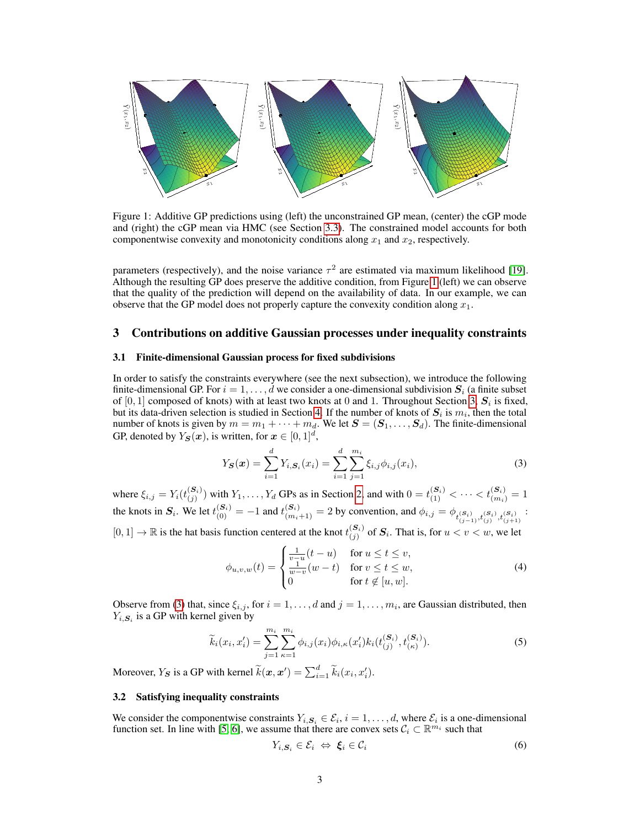

Figure 1: Additive GP predictions using (left) the unconstrained GP mean, (center) the cGP mode and (right) the cGP mean via HMC (see Section [3.3\)](#page-3-0). The constrained model accounts for both componentwise convexity and monotonicity conditions along  $x_1$  and  $x_2$ , respectively.

parameters (respectively), and the noise variance  $\tau^2$  are estimated via maximum likelihood [\[19\]](#page-10-3). Although the resulting GP does preserve the additive condition, from Figure [1](#page-2-2) (left) we can observe that the quality of the prediction will depend on the availability of data. In our example, we can observe that the GP model does not properly capture the convexity condition along  $x_1$ .

# <span id="page-2-1"></span>3 Contributions on additive Gaussian processes under inequality constraints

#### 3.1 Finite-dimensional Gaussian process for fixed subdivisions

In order to satisfy the constraints everywhere (see the next subsection), we introduce the following finite-dimensional GP. For  $i = 1, \ldots, d$  we consider a one-dimensional subdivision  $S_i$  (a finite subset of [0, 1] composed of knots) with at least two knots at 0 and 1. Throughout Section [3,](#page-2-1)  $S_i$  is fixed, but its data-driven selection is studied in Section [4.](#page-4-0) If the number of knots of  $S_i$  is  $m_i$ , then the total number of knots is given by  $m = m_1 + \cdots + m_d$ . We let  $S = (S_1, \ldots, S_d)$ . The finite-dimensional GP, denoted by  $Y_{\mathcal{S}}(x)$ , is written, for  $x \in [0,1]^d$ ,

<span id="page-2-3"></span><span id="page-2-2"></span>
$$
Y_{\mathbf{S}}(\mathbf{x}) = \sum_{i=1}^{d} Y_{i,\mathbf{S}_i}(x_i) = \sum_{i=1}^{d} \sum_{j=1}^{m_i} \xi_{i,j} \phi_{i,j}(x_i),
$$
\n(3)

where  $\xi_{i,j} = Y_i(t_{(i)}^{(S_i)})$  $(S_i)$  with  $Y_1, \ldots, Y_d$  GPs as in Section [2,](#page-1-0) and with  $0 = t_{(1)}^{(S_i)} < \cdots < t_{(m_i)}^{(S_i)} = 1$ the knots in  $S_i$ . We let  $t_{(0)}^{(S_i)} = -1$  and  $t_{(m_i+1)}^{(S_i)} = 2$  by convention, and  $\phi_{i,j} = \phi_{t_{(j-1)}^{(S_i)},t_{(j)}^{(S_i)},t_{(j+1)}^{(S_i)}}$ :  $[0, 1] \rightarrow \mathbb{R}$  is the hat basis function centered at the knot  $t_{(j)}^{(S_i)}$  $\sum_{(j)}^{(s_i)}$  of  $S_i$ . That is, for  $u < v < w$ , we let

<span id="page-2-5"></span>
$$
\phi_{u,v,w}(t) = \begin{cases} \frac{1}{v-u}(t-u) & \text{for } u \le t \le v, \\ \frac{1}{w-v}(w-t) & \text{for } v \le t \le w, \\ 0 & \text{for } t \notin [u, w]. \end{cases}
$$
(4)

Observe from [\(3\)](#page-2-3) that, since  $\xi_{i,j}$ , for  $i = 1, \ldots, d$  and  $j = 1, \ldots, m_i$ , are Gaussian distributed, then  $Y_{i,\mathbf{S}_i}$  is a GP with kernel given by

$$
\widetilde{k}_i(x_i, x'_i) = \sum_{j=1}^{m_i} \sum_{\kappa=1}^{m_i} \phi_{i,j}(x_i) \phi_{i,\kappa}(x'_i) k_i(t_{(j)}^{(S_i)}, t_{(\kappa)}^{(S_i)}).
$$
\n(5)

Moreover,  $Y_S$  is a GP with kernel  $\widetilde{k}(\boldsymbol{x}, \boldsymbol{x}') = \sum_{i=1}^d \widetilde{k}_i(x_i, x'_i)$ .

# <span id="page-2-0"></span>3.2 Satisfying inequality constraints

We consider the componentwise constraints  $Y_{i, S_i} \in \mathcal{E}_i$ ,  $i = 1, \ldots, d$ , where  $\mathcal{E}_i$  is a one-dimensional function set. In line with [\[5,](#page-9-4) [6\]](#page-9-9), we assume that there are convex sets  $C_i \subset \mathbb{R}^{m_i}$  such that

<span id="page-2-4"></span>
$$
Y_{i,\mathbf{S}_i} \in \mathcal{E}_i \Leftrightarrow \boldsymbol{\xi}_i \in \mathcal{C}_i \tag{6}
$$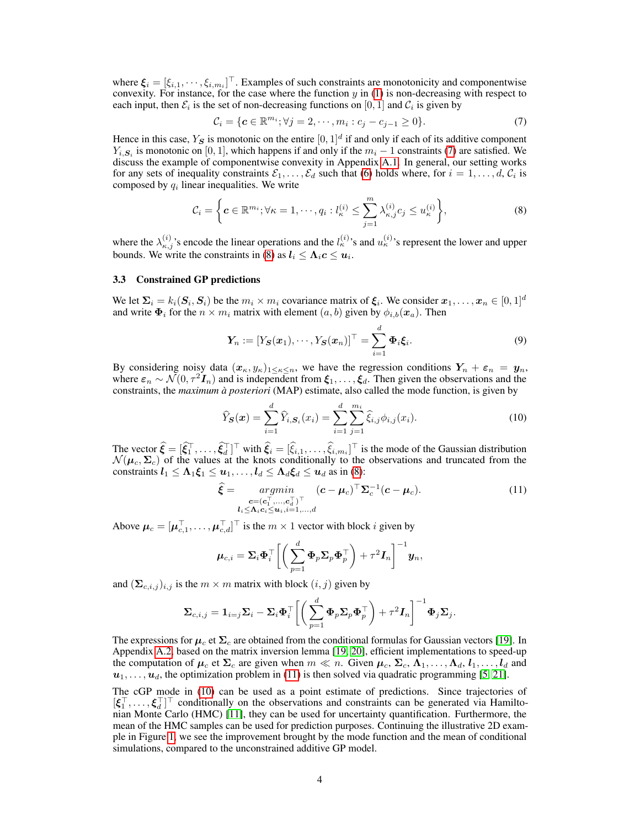where  $\xi_i = [\xi_{i,1}, \cdots, \xi_{i,m_i}]^\top$ . Examples of such constraints are monotonicity and componentwise convexity. For instance, for the case where the function  $y$  in [\(1\)](#page-0-0) is non-decreasing with respect to each input, then  $\mathcal{E}_i$  is the set of non-decreasing functions on  $[0, 1]$  and  $\mathcal{C}_i$  is given by

<span id="page-3-2"></span><span id="page-3-1"></span>
$$
\mathcal{C}_i = \{ \mathbf{c} \in \mathbb{R}^{m_i}; \forall j = 2, \cdots, m_i : c_j - c_{j-1} \ge 0 \}. \tag{7}
$$

Hence in this case,  $Y_S$  is monotonic on the entire  $[0,1]^d$  if and only if each of its additive component  $Y_{i, S_i}$  is monotonic on [0, 1], which happens if and only if the  $m_i - 1$  constraints [\(7\)](#page-3-1) are satisfied. We discuss the example of componentwise convexity in Appendix [A.1.](#page-11-1) In general, our setting works for any sets of inequality constraints  $\mathcal{E}_1, \ldots, \mathcal{E}_d$  such that [\(6\)](#page-2-4) holds where, for  $i = 1, \ldots, d, C_i$  is composed by  $q_i$  linear inequalities. We write

$$
\mathcal{C}_i = \left\{ \boldsymbol{c} \in \mathbb{R}^{m_i}; \forall \kappa = 1, \cdots, q_i : l_{\kappa}^{(i)} \leq \sum_{j=1}^m \lambda_{\kappa,j}^{(i)} c_j \leq u_{\kappa}^{(i)} \right\},\tag{8}
$$

where the  $\lambda_{\kappa,j}^{(i)}$ 's encode the linear operations and the  $l_{\kappa}^{(i)}$ 's and  $u_{\kappa}^{(i)}$ 's represent the lower and upper bounds. We write the constraints in [\(8\)](#page-3-2) as  $l_i \leq \Lambda_i c \leq u_i$ .

### <span id="page-3-0"></span>3.3 Constrained GP predictions

We let  $\Sigma_i = k_i(\mathbf{S}_i, \mathbf{S}_i)$  be the  $m_i \times m_i$  covariance matrix of  $\xi_i$ . We consider  $x_1, \dots, x_n \in [0, 1]^d$ and write  $\Phi_i$  for the  $n \times m_i$  matrix with element  $(a, b)$  given by  $\phi_{i,b}(x_a)$ . Then

<span id="page-3-5"></span>
$$
\boldsymbol{Y}_n := [Y_{\boldsymbol{S}}(\boldsymbol{x}_1), \cdots, Y_{\boldsymbol{S}}(\boldsymbol{x}_n)]^\top = \sum_{i=1}^d \boldsymbol{\Phi}_i \boldsymbol{\xi}_i.
$$
 (9)

By considering noisy data  $(x_k, y_k)_{1 \leq k \leq n}$ , we have the regression conditions  $Y_n + \varepsilon_n = y_n$ , where  $\varepsilon_n \sim \mathcal{N}(0, \tau^2 \mathcal{I}_n)$  and is independent from  $\xi_1, \ldots, \xi_d$ . Then given the observations and the constraints, the *maximum à posteriori* (MAP) estimate, also called the mode function, is given by

<span id="page-3-4"></span>
$$
\widehat{Y}_{\mathbf{S}}(\mathbf{x}) = \sum_{i=1}^{d} \widehat{Y}_{i,\mathbf{S}_i}(x_i) = \sum_{i=1}^{d} \sum_{j=1}^{m_i} \widehat{\xi}_{i,j} \phi_{i,j}(x_i).
$$
\n(10)

The vector  $\hat{\boldsymbol{\xi}} = [\hat{\xi}_1^{\top}, \dots, \hat{\xi}_d^{\top}]^{\top}$  with  $\hat{\xi}_i = [\hat{\xi}_{i,1}, \dots, \hat{\xi}_{i,m_i}]^{\top}$  is the mode of the Gaussian distribution  $\mathcal{N}(\mu_c, \Sigma_c)$  of the values at the knots conditionally to the observations and truncated from the constraints  $l_1 \leq \Lambda_1 \xi_1 \leq u_1, \ldots, l_d \leq \Lambda_d \xi_d \leq u_d$  as in [\(8\)](#page-3-2):

<span id="page-3-3"></span>
$$
\hat{\boldsymbol{\xi}} = \underset{\substack{c = (c_1^\top, \dots, c_d^\top)^\top \\ l_i \le \Lambda_i c_i \le u_i, i = 1, \dots, d}}{\operatorname{argmin}} (\boldsymbol{c} - \boldsymbol{\mu}_c)^\top \boldsymbol{\Sigma}_c^{-1} (\boldsymbol{c} - \boldsymbol{\mu}_c). \tag{11}
$$

Above  $\boldsymbol{\mu}_c = [\boldsymbol{\mu}_{c,1}^{\top}, \dots, \boldsymbol{\mu}_{c,d}^{\top}]^{\top}$  is the  $m \times 1$  vector with block i given by

$$
\boldsymbol{\mu}_{c,i} = \boldsymbol{\Sigma}_i \boldsymbol{\Phi}_i^\top \bigg[ \bigg( \sum_{p=1}^d \boldsymbol{\Phi}_p \boldsymbol{\Sigma}_p \boldsymbol{\Phi}_p^\top \bigg) + \tau^2 \boldsymbol{I}_n \bigg]^{-1} \boldsymbol{y}_n,
$$

and  $(\mathbf{\Sigma}_{c,i,j})_{i,j}$  is the  $m \times m$  matrix with block  $(i, j)$  given by

$$
\boldsymbol{\Sigma}_{c,i,j} = \mathbf{1}_{i=j} \boldsymbol{\Sigma}_i - \boldsymbol{\Sigma}_i \boldsymbol{\Phi}_i^{\top} \bigg[ \bigg( \sum_{p=1}^d \boldsymbol{\Phi}_p \boldsymbol{\Sigma}_p \boldsymbol{\Phi}_p^{\top} \bigg) + \tau^2 \boldsymbol{I}_n \bigg]^{-1} \boldsymbol{\Phi}_j \boldsymbol{\Sigma}_j.
$$

The expressions for  $\mu_c$  et  $\Sigma_c$  are obtained from the conditional formulas for Gaussian vectors [\[19\]](#page-10-3). In Appendix [A.2,](#page-11-2) based on the matrix inversion lemma [\[19,](#page-10-3) [20\]](#page-10-4), efficient implementations to speed-up the computation of  $\mu_c$  et  $\Sigma_c$  are given when  $m \ll n$ . Given  $\mu_c$ ,  $\Sigma_c$ ,  $\Lambda_1, \ldots, \Lambda_d$ ,  $l_1, \ldots, l_d$  and  $u_1, \ldots, u_d$ , the optimization problem in [\(11\)](#page-3-3) is then solved via quadratic programming [\[5,](#page-9-4) [21\]](#page-10-5).

The cGP mode in [\(10\)](#page-3-4) can be used as a point estimate of predictions. Since trajectories of  $[\xi_1^\top,\ldots,\xi_d^\top]^\top$  conditionally on the observations and constraints can be generated via Hamiltonian Monte Carlo (HMC) [\[11\]](#page-9-6), they can be used for uncertainty quantification. Furthermore, the mean of the HMC samples can be used for prediction purposes. Continuing the illustrative 2D example in Figure [1,](#page-2-2) we see the improvement brought by the mode function and the mean of conditional simulations, compared to the unconstrained additive GP model.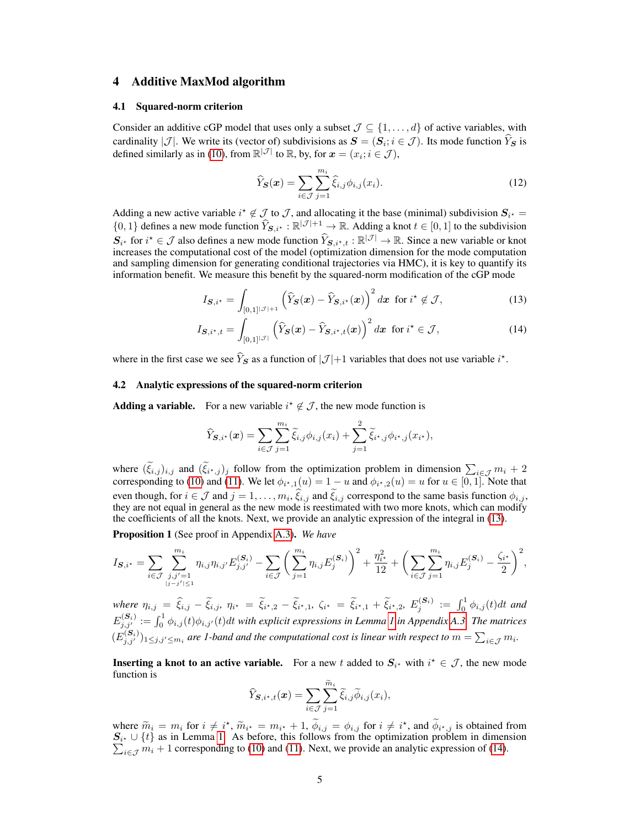# <span id="page-4-0"></span>4 Additive MaxMod algorithm

#### 4.1 Squared-norm criterion

Consider an additive cGP model that uses only a subset  $\mathcal{J} \subseteq \{1, \ldots, d\}$  of active variables, with cardinality |J|. We write its (vector of) subdivisions as  $S = (S_i; i \in J)$ . Its mode function  $Y_S$  is defined similarly as in [\(10\)](#page-3-4), from  $\mathbb{R}^{|\mathcal{J}|}$  to  $\mathbb{R}$ , by, for  $\boldsymbol{x} = (x_i; i \in \mathcal{J})$ ,

<span id="page-4-2"></span><span id="page-4-1"></span>
$$
\widehat{Y}_{\mathbf{S}}(\boldsymbol{x}) = \sum_{i \in \mathcal{J}} \sum_{j=1}^{m_i} \widehat{\xi}_{i,j} \phi_{i,j}(x_i). \tag{12}
$$

Adding a new active variable  $i^* \notin \mathcal{I}$  to  $\mathcal{I}$ , and allocating it the base (minimal) subdivision  $S_{i^*}$  $\{0, 1\}$  defines a new mode function  $\hat{Y}_{\mathbf{S},i^*}: \mathbb{R}^{|\mathcal{J}|+1} \to \mathbb{R}$ . Adding a knot  $t \in [0, 1]$  to the subdivision  $S_{i^*}$  for  $i^* \in \mathcal{J}$  also defines a new mode function  $\widehat{Y}_{S,i^*,t} : \mathbb{R}^{|\mathcal{J}|} \to \mathbb{R}$ . Since a new variable or knot increases the computational cost of the model (optimization dimension for the mode computation and sampling dimension for generating conditional trajectories via HMC), it is key to quantify its information benefit. We measure this benefit by the squared-norm modification of the cGP mode

$$
I_{\mathcal{S},i^*} = \int_{[0,1]^{|\mathcal{J}|+1}} \left(\widehat{Y}_{\mathcal{S}}(\boldsymbol{x}) - \widehat{Y}_{\mathcal{S},i^*}(\boldsymbol{x})\right)^2 d\boldsymbol{x} \text{ for } i^* \notin \mathcal{J},\tag{13}
$$

$$
I_{\mathcal{S},i^{\star},t} = \int_{[0,1]^{|\mathcal{J}|}} \left(\widehat{Y}_{\mathcal{S}}(\boldsymbol{x}) - \widehat{Y}_{\mathcal{S},i^{\star},t}(\boldsymbol{x})\right)^2 d\boldsymbol{x} \text{ for } i^{\star} \in \mathcal{J},\tag{14}
$$

where in the first case we see  $\hat{Y}_s$  as a function of  $|\mathcal{J}|+1$  variables that does not use variable  $i^*$ .

#### <span id="page-4-4"></span>4.2 Analytic expressions of the squared-norm criterion

**Adding a variable.** For a new variable  $i^* \notin \mathcal{J}$ , the new mode function is

$$
\widehat{Y}_{\mathbf{S},i^*}(\boldsymbol{x}) = \sum_{i \in \mathcal{J}} \sum_{j=1}^{m_i} \widetilde{\xi}_{i,j} \phi_{i,j}(x_i) + \sum_{j=1}^2 \widetilde{\xi}_{i^*,j} \phi_{i^*,j}(x_{i^*}),
$$

where  $(\tilde{\xi}_{i,j})_{i,j}$  and  $(\tilde{\xi}_{i^*,j})_j$  follow from the optimization problem in dimension  $\sum_{i\in\mathcal{J}}m_i+2$ corresponding to [\(10\)](#page-3-4) and [\(11\)](#page-3-3). We let  $\phi_{i^*,1}(u) = 1 - u$  and  $\phi_{i^*,2}(u) = u$  for  $u \in [0,1]$ . Note that even though, for  $i \in \mathcal{J}$  and  $j = 1, \ldots, m_i, \xi_{i,j}$  and  $\xi_{i,j}$  correspond to the same basis function  $\phi_{i,j}$ , they are not equal in general as the new mode is reestimated with two more knots, which can modify the coefficients of all the knots. Next, we provide an analytic expression of the integral in [\(13\)](#page-4-1).

<span id="page-4-3"></span>Proposition 1 (See proof in Appendix [A.3\)](#page-12-0). *We have*

$$
I_{\mathcal{S},i^{\star}} = \sum_{i \in \mathcal{J}} \sum_{\substack{j,j'=1 \ j \neq j' \leq 1}}^{m_i} \eta_{i,j} \eta_{i,j'} E_{j,j'}^{(\mathcal{S}_i)} - \sum_{i \in \mathcal{J}} \left( \sum_{j=1}^{m_i} \eta_{i,j} E_j^{(\mathcal{S}_i)} \right)^2 + \frac{\eta_{i^{\star}}^2}{12} + \left( \sum_{i \in \mathcal{J}} \sum_{j=1}^{m_i} \eta_{i,j} E_j^{(\mathcal{S}_i)} - \frac{\zeta_{i^{\star}}}{2} \right)^2,
$$

 $\hat{m}_{i,j} = \hat{\xi}_{i,j} - \tilde{\xi}_{i,j}, \ \eta_{i^*} = \tilde{\xi}_{i^*,2} - \tilde{\xi}_{i^*,1}, \ \zeta_{i^*} = \tilde{\xi}_{i^*,1} + \tilde{\xi}_{i^*,2}, \ E_j^{(\mathbf{S}_i)} := \int_0^1 \phi_{i,j}(t) dt$  and  $E^{(\mathcal{S}_i)}_{j,j'}:=\int_0^1 \phi_{i,j}(t)\phi_{i,j'}(t)dt$  with explicit expressions in Lemma [1](#page-12-1) in Appendix [A.3.](#page-12-0) The matrices  $(E_{j,j'}^{(S_i)})_{1\leq j,j'\leq m_i}$  are 1-band and the computational cost is linear with respect to  $m=\sum_{i\in\mathcal{J}}m_i$ .

**Inserting a knot to an active variable.** For a new t added to  $S_{i^*}$  with  $i^* \in \mathcal{J}$ , the new mode function is

$$
\widehat{Y}_{\boldsymbol{S},i^{\star},t}(\boldsymbol{x}) = \sum_{i \in \mathcal{J}} \sum_{j=1}^{\widetilde{m}_i} \widetilde{\xi}_{i,j} \widetilde{\phi}_{i,j}(x_i),
$$

where  $\widetilde{m}_i = m_i$  for  $i \neq i^*$ ,  $\widetilde{m}_{i^*} = m_{i^*} + 1$ ,  $\widetilde{\phi}_{i,j} = \phi_{i,j}$  for  $i \neq i^*$ , and  $\widetilde{\phi}_{i^*,j}$  is obtained from  $S_{i^*}$  ∪ {*t*} as in Lemma [1.](#page-12-1) As before, this follows from the optimization problem in dimension  $\sum_{i \in \mathcal{J}} m_i + 1$  corresponding to [\(10\)](#page-3-4) and [\(11\)](#page-3-3). Next, we provide an analytic expression of [\(14\)](#page-4-2).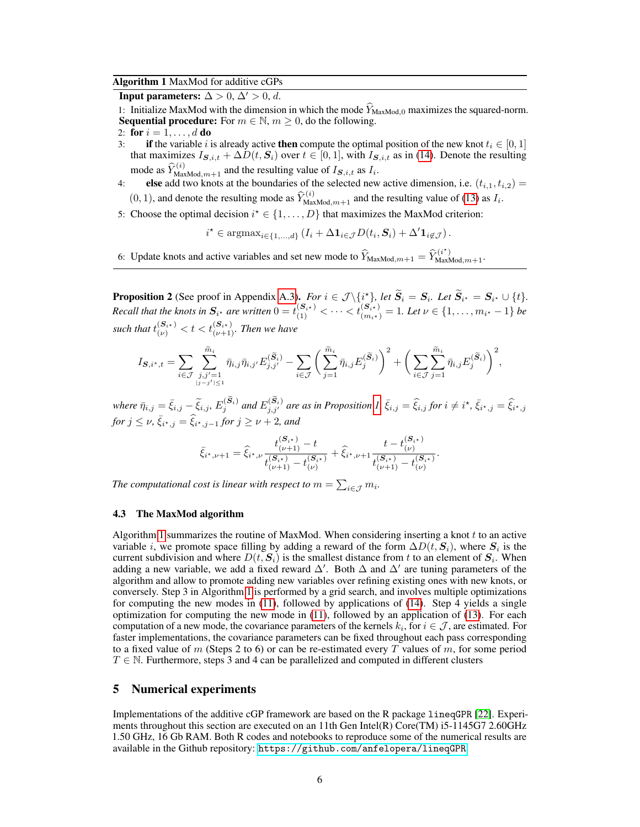## Algorithm 1 MaxMod for additive cGPs

<span id="page-5-1"></span>Input parameters:  $\Delta > 0$ ,  $\Delta' > 0$ , d.

1: Initialize MaxMod with the dimension in which the mode  $\hat{Y}_{\text{MaxMod},0}$  maximizes the squared-norm. **Sequential procedure:** For  $m \in \mathbb{N}$ ,  $m \ge 0$ , do the following.

$$
2: \textbf{ for } i = 1, \ldots, d \textbf{ do}
$$

- 3: if the variable i is already active then compute the optimal position of the new knot  $t_i \in [0, 1]$ that maximizes  $I_{\mathbf{S},i,t} + \Delta D(t,\mathbf{S}_i)$  over  $t \in [0,1]$ , with  $I_{\mathbf{S},i,t}$  as in [\(14\)](#page-4-2). Denote the resulting mode as  $\widehat{Y}_{\text{MaxMod},m+1}^{(i)}$  and the resulting value of  $I_{\mathbf{S},i,t}$  as  $I_i$ .
- 4: else add two knots at the boundaries of the selected new active dimension, i.e.  $(t_{i,1}, t_{i,2}) =$  $(0, 1)$ , and denote the resulting mode as  $\hat{Y}_{\text{MaxMod},m+1}^{(i)}$  and the resulting value of [\(13\)](#page-4-1) as  $I_i$ .
- 5: Choose the optimal decision  $i^* \in \{1, ..., D\}$  that maximizes the MaxMod criterion:

 $i^* \in \text{argmax}_{i \in \{1, ..., d\}} (I_i + \Delta \mathbf{1}_{i \in \mathcal{J}} D(t_i, \mathbf{S}_i) + \Delta' \mathbf{1}_{i \notin \mathcal{J}}).$ 

6: Update knots and active variables and set new mode to  $\widehat{Y}_{\text{MaxMod},m+1} = \widehat{Y}_{\text{MaxMod},m+1}^{(i^*)}$ .

<span id="page-5-2"></span>**Proposition 2** (See proof in Appendix [A.3\)](#page-12-0). *For*  $i \in \mathcal{J} \setminus \{i^{\star}\},$  *let*  $\widetilde{S}_i = S_i$ *. Let*  $\widetilde{S}_{i^{\star}} = S_{i^{\star}} \cup \{t\}.$ *Recall that the knots in*  $S_{i^*}$  are written  $0=t_{(1)}^{(S_{i^*})} < \cdots < t_{(m_{i^*})}^{(S_{i^*})}=1$ . Let  $\nu \in \{1,\ldots,m_{i^*}-1\}$  be such that  $t_{(\nu)}^{(\boldsymbol{S}_{i^\star})} < t < t_{(\nu+1)}^{(\boldsymbol{S}_{i^\star})}$ . Then we have

$$
I_{\mathcal{S},i^{\star},t} = \sum_{i \in \mathcal{J}} \sum_{\substack{j,j'=1 \ j=j' \mid \leq 1}}^{\widetilde{m}_i} \bar{\eta}_{i,j} \bar{\eta}_{i,j'} E_{j,j'}^{(\widetilde{S}_i)} - \sum_{i \in \mathcal{J}} \left( \sum_{j=1}^{\widetilde{m}_i} \bar{\eta}_{i,j} E_j^{(\widetilde{S}_i)} \right)^2 + \left( \sum_{i \in \mathcal{J}} \sum_{j=1}^{\widetilde{m}_i} \bar{\eta}_{i,j} E_j^{(\widetilde{S}_i)} \right)^2,
$$

 $\hat{\eta}_{i,j} = \bar{\xi}_{i,j} - \tilde{\xi}_{i,j}$ ,  $E_j^{(\mathbf{S}_i)}$  and  $E_{j,j'}^{(\mathbf{S}_i)}$  are as in Proposition [1,](#page-4-3)  $\bar{\xi}_{i,j} = \widehat{\xi}_{i,j}$  for  $i \neq i^\star$ ,  $\bar{\xi}_{i^\star,j} = \widehat{\xi}_{i^\star,j}$ *for*  $j \leq \nu$ ,  $\bar{\xi}_{i^*,j} = \hat{\xi}_{i^*,j-1}$  *for*  $j \geq \nu + 2$ *, and* 

$$
\bar{\xi}_{i^*,\nu+1} = \hat{\xi}_{i^*,\nu} \frac{t_{(\nu+1)}^{(S_{i^*})} - t}{t_{(\nu+1)}^{(S_{i^*})} - t_{(\nu)}^{(S_{i^*})}} + \hat{\xi}_{i^*,\nu+1} \frac{t - t_{(\nu)}^{(S_{i^*})}}{t_{(\nu+1)}^{(S_{i^*})} - t_{(\nu)}^{(S_{i^*})}}.
$$

*The computational cost is linear with respect to*  $m = \sum_{i \in \mathcal{J}} m_i$ .

## 4.3 The MaxMod algorithm

Algorithm [1](#page-5-1) summarizes the routine of MaxMod. When considering inserting a knot  $t$  to an active variable *i*, we promote space filling by adding a reward of the form  $\Delta D(t, S_i)$ , where  $S_i$  is the current subdivision and where  $D(t, S_i)$  is the smallest distance from t to an element of  $S_i$ . When adding a new variable, we add a fixed reward  $\Delta'$ . Both  $\Delta$  and  $\Delta'$  are tuning parameters of the algorithm and allow to promote adding new variables over refining existing ones with new knots, or conversely. Step 3 in Algorithm [1](#page-5-1) is performed by a grid search, and involves multiple optimizations for computing the new modes in [\(11\)](#page-3-3), followed by applications of [\(14\)](#page-4-2). Step 4 yields a single optimization for computing the new mode in [\(11\)](#page-3-3), followed by an application of [\(13\)](#page-4-1). For each computation of a new mode, the covariance parameters of the kernels  $k_i$ , for  $i \in \mathcal{J}$ , are estimated. For faster implementations, the covariance parameters can be fixed throughout each pass corresponding to a fixed value of m (Steps 2 to 6) or can be re-estimated every T values of m, for some period  $T \in \mathbb{N}$ . Furthermore, steps 3 and 4 can be parallelized and computed in different clusters

# <span id="page-5-0"></span>5 Numerical experiments

Implementations of the additive cGP framework are based on the R package lineqGPR [\[22\]](#page-10-6). Experiments throughout this section are executed on an 11th Gen Intel(R) Core(TM)  $i5$ -1145G7 2.60GHz 1.50 GHz, 16 Gb RAM. Both R codes and notebooks to reproduce some of the numerical results are available in the Github repository: <https://github.com/anfelopera/lineqGPR>.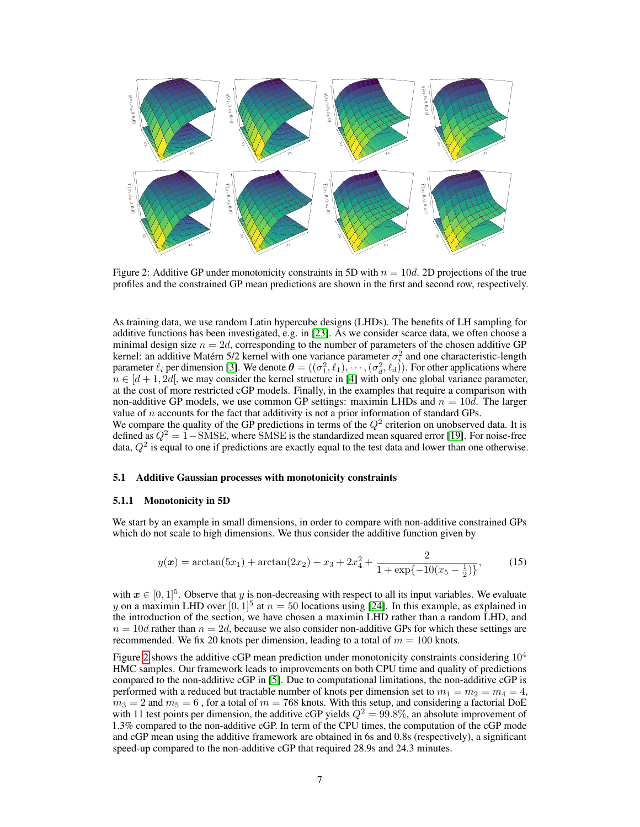

<span id="page-6-0"></span>Figure 2: Additive GP under monotonicity constraints in 5D with  $n = 10d$ . 2D projections of the true profiles and the constrained GP mean predictions are shown in the first and second row, respectively.

As training data, we use random Latin hypercube designs (LHDs). The benefits of LH sampling for additive functions has been investigated, e.g. in [\[23\]](#page-10-7). As we consider scarce data, we often choose a minimal design size  $n = 2d$ , corresponding to the number of parameters of the chosen additive GP kernel: an additive Matérn 5/2 kernel with one variance parameter  $\sigma_i^2$  and one characteristic-length parameter  $\ell_i$  per dimension [\[3\]](#page-9-2). We denote  $\boldsymbol{\theta} = ((\sigma_1^2, \ell_1), \cdots, (\sigma_d^2, \ell_d))$ . For other applications where  $n \in [d+1, 2d]$ , we may consider the kernel structure in [\[4\]](#page-9-3) with only one global variance parameter, at the cost of more restricted cGP models. Finally, in the examples that require a comparison with non-additive GP models, we use common GP settings: maximin LHDs and  $n = 10d$ . The larger value of  $n$  accounts for the fact that additivity is not a prior information of standard GPs. We compare the quality of the GP predictions in terms of the  $Q^2$  criterion on unobserved data. It is

defined as  $Q^2 = 1$  – SMSE, where SMSE is the standardized mean squared error [\[19\]](#page-10-3). For noise-free data,  $Q^2$  is equal to one if predictions are exactly equal to the test data and lower than one otherwise.

## 5.1 Additive Gaussian processes with monotonicity constraints

#### <span id="page-6-1"></span>5.1.1 Monotonicity in 5D

We start by an example in small dimensions, in order to compare with non-additive constrained GPs which do not scale to high dimensions. We thus consider the additive function given by

$$
y(\boldsymbol{x}) = \arctan(5x_1) + \arctan(2x_2) + x_3 + 2x_4^2 + \frac{2}{1 + \exp\{-10(x_5 - \frac{1}{2})\}},\tag{15}
$$

with  $x \in [0, 1]^5$ . Observe that y is non-decreasing with respect to all its input variables. We evaluate y on a maximin LHD over  $[0,1]^5$  at  $n = 50$  locations using [\[24\]](#page-10-8). In this example, as explained in the introduction of the section, we have chosen a maximin LHD rather than a random LHD, and  $n = 10d$  rather than  $n = 2d$ , because we also consider non-additive GPs for which these settings are recommended. We fix 20 knots per dimension, leading to a total of  $m = 100$  knots.

Figure [2](#page-6-0) shows the additive cGP mean prediction under monotonicity constraints considering  $10^4$ HMC samples. Our framework leads to improvements on both CPU time and quality of predictions compared to the non-additive cGP in [\[5\]](#page-9-4). Due to computational limitations, the non-additive cGP is performed with a reduced but tractable number of knots per dimension set to  $m_1 = m_2 = m_4 = 4$ ,  $m_3 = 2$  and  $m_5 = 6$ , for a total of  $m = 768$  knots. With this setup, and considering a factorial DoE with 11 test points per dimension, the additive cGP yields  $Q^2 = 99.8\%$ , an absolute improvement of 1.3% compared to the non-additive cGP. In term of the CPU times, the computation of the cGP mode and cGP mean using the additive framework are obtained in 6s and 0.8s (respectively), a significant speed-up compared to the non-additive cGP that required 28.9s and 24.3 minutes.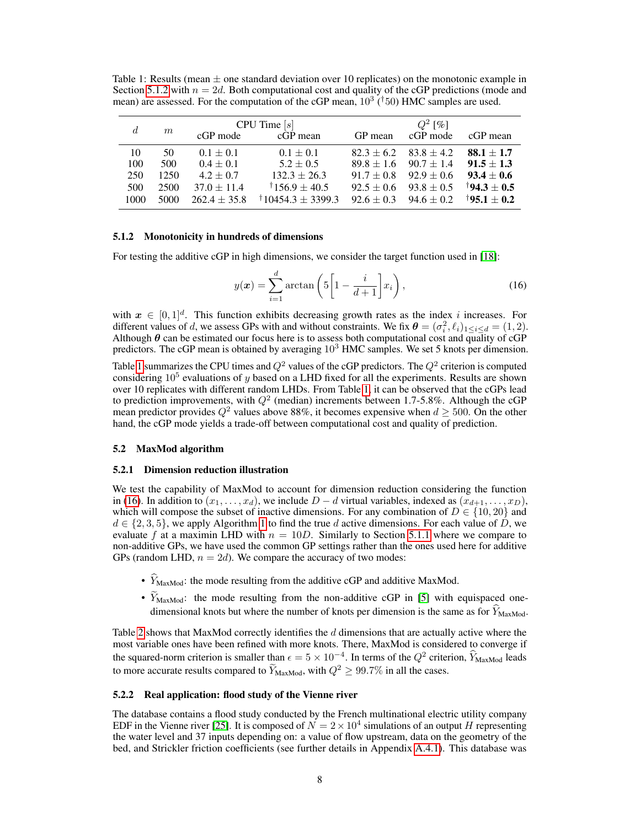<span id="page-7-1"></span>Table 1: Results (mean  $\pm$  one standard deviation over 10 replicates) on the monotonic example in Section [5.1.2](#page-7-0) with  $n = 2d$ . Both computational cost and quality of the cGP predictions (mode and mean) are assessed. For the computation of the cGP mean,  $10^3$  ( $\dot{1}50$ ) HMC samples are used.

| d    | m    | $CPU$ Time $[s]$ |                              | $Q^2$ [%]                     |                               |                          |
|------|------|------------------|------------------------------|-------------------------------|-------------------------------|--------------------------|
|      |      | cGP mode         | cGP mean                     | GP mean                       | cGP mode                      | cGP mean                 |
| 10   | 50   | $0.1 \pm 0.1$    | $0.1 \pm 0.1$                |                               | $82.3 \pm 6.2$ $83.8 \pm 4.2$ | $88.1 \pm 1.7$           |
| 100  | 500  | $0.4 \pm 0.1$    | $5.2 \pm 0.5$                | $89.8 \pm 1.6$                | $90.7 \pm 1.4$                | $91.5 \pm 1.3$           |
| 250  | 1250 | $4.2 \pm 0.7$    | $132.3 \pm 26.3$             | $91.7 \pm 0.8$ $92.9 \pm 0.6$ |                               | $93.4 \pm 0.6$           |
| 500  | 2500 | $37.0 \pm 11.4$  | $\pm 156.9 \pm 40.5$         | $92.5 + 0.6$                  | $93.8 \pm 0.5$                | $\dagger$ 94.3 $\pm$ 0.5 |
| 1000 | 5000 | $262.4 \pm 35.8$ | $\frac{1}{10454.3}$ ± 3399.3 |                               | $92.6 \pm 0.3$ $94.6 \pm 0.2$ | $\frac{1}{95.1} + 0.2$   |

## <span id="page-7-0"></span>5.1.2 Monotonicity in hundreds of dimensions

For testing the additive cGP in high dimensions, we consider the target function used in [\[18\]](#page-10-2):

<span id="page-7-2"></span>
$$
y(\boldsymbol{x}) = \sum_{i=1}^{d} \arctan\left(5\left[1 - \frac{i}{d+1}\right]x_i\right),\tag{16}
$$

with  $x \in [0,1]^d$ . This function exhibits decreasing growth rates as the index i increases. For different values of d, we assess GPs with and without constraints. We fix  $\theta = (\sigma_i^2, \ell_i)_{1 \leq i \leq d} = (1, 2)$ . Although  $\theta$  can be estimated our focus here is to assess both computational cost and quality of cGP predictors. The cGP mean is obtained by averaging 10<sup>3</sup> HMC samples. We set 5 knots per dimension.

Table [1](#page-7-1) summarizes the CPU times and  $Q^2$  values of the cGP predictors. The  $Q^2$  criterion is computed considering  $10^5$  evaluations of y based on a LHD fixed for all the experiments. Results are shown over 10 replicates with different random LHDs. From Table [1,](#page-7-1) it can be observed that the cGPs lead to prediction improvements, with  $Q^2$  (median) increments between 1.7-5.8%. Although the cGP mean predictor provides  $Q^2$  values above 88%, it becomes expensive when  $d \ge 500$ . On the other hand, the cGP mode yields a trade-off between computational cost and quality of prediction.

# 5.2 MaxMod algorithm

#### <span id="page-7-3"></span>5.2.1 Dimension reduction illustration

We test the capability of MaxMod to account for dimension reduction considering the function in [\(16\)](#page-7-2). In addition to  $(x_1, \ldots, x_d)$ , we include  $D - d$  virtual variables, indexed as  $(x_{d+1}, \ldots, x_D)$ , which will compose the subset of inactive dimensions. For any combination of  $D \in \{10, 20\}$  and  $d \in \{2, 3, 5\}$ , we apply Algorithm [1](#page-5-1) to find the true d active dimensions. For each value of D, we evaluate f at a maximin LHD with  $n = 10D$ . Similarly to Section [5.1.1](#page-6-1) where we compare to non-additive GPs, we have used the common GP settings rather than the ones used here for additive GPs (random LHD,  $n = 2d$ ). We compare the accuracy of two modes:

- $\widehat{Y}_{MaxMod}$ : the mode resulting from the additive cGP and additive MaxMod.
- $\widetilde{Y}_{\text{MaxMod}}$ : the mode resulting from the non-additive cGP in [\[5\]](#page-9-4) with equispaced onedimensional knots but where the number of knots per dimension is the same as for  $\dot{Y}_{\text{MaxMod}}$ .

Table [2](#page-8-0) shows that MaxMod correctly identifies the  $d$  dimensions that are actually active where the most variable ones have been refined with more knots. There, MaxMod is considered to converge if the squared-norm criterion is smaller than  $\epsilon = 5 \times 10^{-4}$ . In terms of the  $Q^2$  criterion,  $\widehat{Y}_{\text{MaxMod}}$  leads to more accurate results compared to  $\hat{Y}_{\text{MaxMod}}$ , with  $Q^2 \ge 99.7\%$  in all the cases.

# <span id="page-7-4"></span>5.2.2 Real application: flood study of the Vienne river

The database contains a flood study conducted by the French multinational electric utility company EDF in the Vienne river [\[25\]](#page-10-9). It is composed of  $N = 2 \times 10^4$  simulations of an output H representing the water level and 37 inputs depending on: a value of flow upstream, data on the geometry of the bed, and Strickler friction coefficients (see further details in Appendix [A.4.1\)](#page-13-0). This database was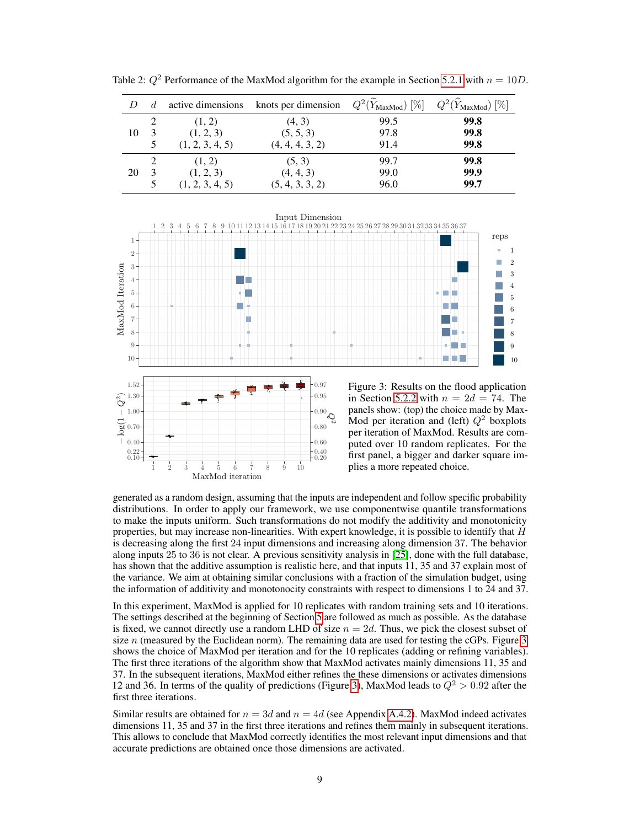|    | d. | active dimensions | knots per dimension | $Q^2(\widetilde{Y}_\text{MaxMod})\ [\%]$ | $Q^2(\widehat{Y}_{\text{MaxMod}})$ [%] |
|----|----|-------------------|---------------------|------------------------------------------|----------------------------------------|
|    |    | (1, 2)            | (4, 3)              | 99.5                                     | 99.8                                   |
| 10 |    | (1, 2, 3)         | (5, 5, 3)           | 97.8                                     | 99.8                                   |
|    | 5  | (1, 2, 3, 4, 5)   | (4, 4, 4, 3, 2)     | 91.4                                     | 99.8                                   |
|    |    | (1, 2)            | (5, 3)              | 99.7                                     | 99.8                                   |
| 20 | 3  | (1, 2, 3)         | (4, 4, 3)           | 99.0                                     | 99.9                                   |
|    |    | (1, 2, 3, 4, 5)   | (5, 4, 3, 3, 2)     | 96.0                                     | 99.7                                   |

<span id="page-8-0"></span>Table 2:  $Q^2$  Performance of the MaxMod algorithm for the example in Section [5.2.1](#page-7-3) with  $n = 10D$ .



 $\begin{array}{c} 0.22 \\ 0.10 \end{array}$ 0.40 0.70 1.00 0.20 0.40 0.60 0.80 0.90 1 2 3 4 5 6 7 8 9 10 MaxMod iteration  $-\log(1)$ Ç,

<span id="page-8-1"></span>Figure 3: Results on the flood application in Section [5.2.2](#page-7-4) with  $n = 2d = 74$ . The panels show: (top) the choice made by Max-Mod per iteration and (left)  $Q^2$  boxplots per iteration of MaxMod. Results are computed over 10 random replicates. For the first panel, a bigger and darker square implies a more repeated choice.

generated as a random design, assuming that the inputs are independent and follow specific probability distributions. In order to apply our framework, we use componentwise quantile transformations to make the inputs uniform. Such transformations do not modify the additivity and monotonicity properties, but may increase non-linearities. With expert knowledge, it is possible to identify that  $H$ is decreasing along the first 24 input dimensions and increasing along dimension 37. The behavior along inputs 25 to 36 is not clear. A previous sensitivity analysis in [\[25\]](#page-10-9), done with the full database, has shown that the additive assumption is realistic here, and that inputs 11, 35 and 37 explain most of the variance. We aim at obtaining similar conclusions with a fraction of the simulation budget, using the information of additivity and monotonocity constraints with respect to dimensions 1 to 24 and 37.

In this experiment, MaxMod is applied for 10 replicates with random training sets and 10 iterations. The settings described at the beginning of Section [5](#page-5-0) are followed as much as possible. As the database is fixed, we cannot directly use a random LHD of size  $n = 2d$ . Thus, we pick the closest subset of size  $n$  (measured by the Euclidean norm). The remaining data are used for testing the cGPs. Figure  $3$ shows the choice of MaxMod per iteration and for the 10 replicates (adding or refining variables). The first three iterations of the algorithm show that MaxMod activates mainly dimensions 11, 35 and 37. In the subsequent iterations, MaxMod either refines the these dimensions or activates dimensions 12 and 36. In terms of the quality of predictions (Figure [3\)](#page-8-1), MaxMod leads to  $Q^2 > 0.92$  after the first three iterations.

Similar results are obtained for  $n = 3d$  and  $n = 4d$  (see Appendix [A.4.2\)](#page-13-1). MaxMod indeed activates dimensions 11, 35 and 37 in the first three iterations and refines them mainly in subsequent iterations. This allows to conclude that MaxMod correctly identifies the most relevant input dimensions and that accurate predictions are obtained once those dimensions are activated.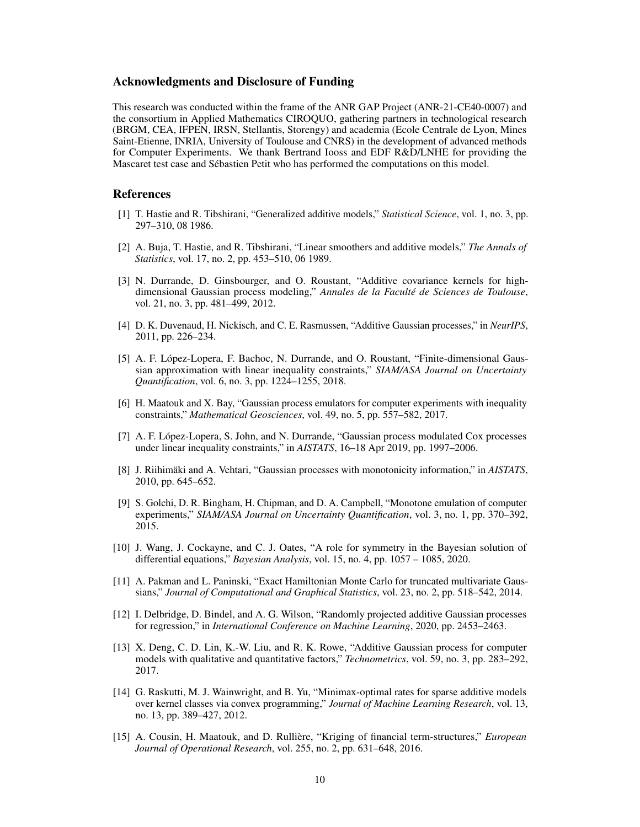# Acknowledgments and Disclosure of Funding

This research was conducted within the frame of the ANR GAP Project (ANR-21-CE40-0007) and the consortium in Applied Mathematics CIROQUO, gathering partners in technological research (BRGM, CEA, IFPEN, IRSN, Stellantis, Storengy) and academia (Ecole Centrale de Lyon, Mines Saint-Etienne, INRIA, University of Toulouse and CNRS) in the development of advanced methods for Computer Experiments. We thank Bertrand Iooss and EDF R&D/LNHE for providing the Mascaret test case and Sébastien Petit who has performed the computations on this model.

# References

- <span id="page-9-0"></span>[1] T. Hastie and R. Tibshirani, "Generalized additive models," *Statistical Science*, vol. 1, no. 3, pp. 297–310, 08 1986.
- <span id="page-9-1"></span>[2] A. Buja, T. Hastie, and R. Tibshirani, "Linear smoothers and additive models," *The Annals of Statistics*, vol. 17, no. 2, pp. 453–510, 06 1989.
- <span id="page-9-2"></span>[3] N. Durrande, D. Ginsbourger, and O. Roustant, "Additive covariance kernels for highdimensional Gaussian process modeling," *Annales de la Faculté de Sciences de Toulouse*, vol. 21, no. 3, pp. 481–499, 2012.
- <span id="page-9-3"></span>[4] D. K. Duvenaud, H. Nickisch, and C. E. Rasmussen, "Additive Gaussian processes," in *NeurIPS*, 2011, pp. 226–234.
- <span id="page-9-4"></span>[5] A. F. López-Lopera, F. Bachoc, N. Durrande, and O. Roustant, "Finite-dimensional Gaussian approximation with linear inequality constraints," *SIAM/ASA Journal on Uncertainty Quantification*, vol. 6, no. 3, pp. 1224–1255, 2018.
- <span id="page-9-9"></span>[6] H. Maatouk and X. Bay, "Gaussian process emulators for computer experiments with inequality constraints," *Mathematical Geosciences*, vol. 49, no. 5, pp. 557–582, 2017.
- <span id="page-9-10"></span>[7] A. F. López-Lopera, S. John, and N. Durrande, "Gaussian process modulated Cox processes under linear inequality constraints," in *AISTATS*, 16–18 Apr 2019, pp. 1997–2006.
- [8] J. Riihimäki and A. Vehtari, "Gaussian processes with monotonicity information," in *AISTATS*, 2010, pp. 645–652.
- [9] S. Golchi, D. R. Bingham, H. Chipman, and D. A. Campbell, "Monotone emulation of computer experiments," *SIAM/ASA Journal on Uncertainty Quantification*, vol. 3, no. 1, pp. 370–392, 2015.
- <span id="page-9-5"></span>[10] J. Wang, J. Cockayne, and C. J. Oates, "A role for symmetry in the Bayesian solution of differential equations," *Bayesian Analysis*, vol. 15, no. 4, pp. 1057 – 1085, 2020.
- <span id="page-9-6"></span>[11] A. Pakman and L. Paninski, "Exact Hamiltonian Monte Carlo for truncated multivariate Gaussians," *Journal of Computational and Graphical Statistics*, vol. 23, no. 2, pp. 518–542, 2014.
- <span id="page-9-7"></span>[12] I. Delbridge, D. Bindel, and A. G. Wilson, "Randomly projected additive Gaussian processes for regression," in *International Conference on Machine Learning*, 2020, pp. 2453–2463.
- [13] X. Deng, C. D. Lin, K.-W. Liu, and R. K. Rowe, "Additive Gaussian process for computer models with qualitative and quantitative factors," *Technometrics*, vol. 59, no. 3, pp. 283–292, 2017.
- <span id="page-9-8"></span>[14] G. Raskutti, M. J. Wainwright, and B. Yu, "Minimax-optimal rates for sparse additive models over kernel classes via convex programming," *Journal of Machine Learning Research*, vol. 13, no. 13, pp. 389–427, 2012.
- <span id="page-9-11"></span>[15] A. Cousin, H. Maatouk, and D. Rullière, "Kriging of financial term-structures," *European Journal of Operational Research*, vol. 255, no. 2, pp. 631–648, 2016.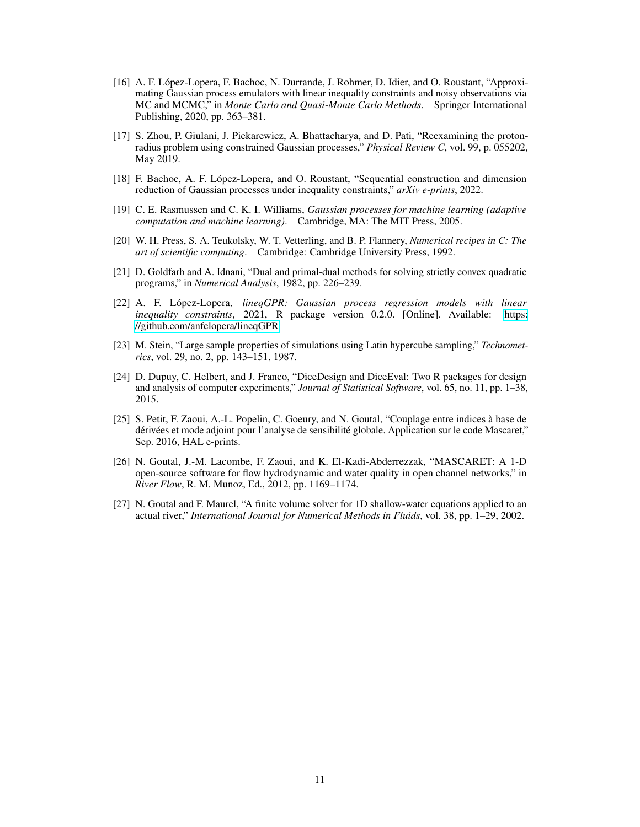- <span id="page-10-0"></span>[16] A. F. López-Lopera, F. Bachoc, N. Durrande, J. Rohmer, D. Idier, and O. Roustant, "Approximating Gaussian process emulators with linear inequality constraints and noisy observations via MC and MCMC," in *Monte Carlo and Quasi-Monte Carlo Methods*. Springer International Publishing, 2020, pp. 363–381.
- <span id="page-10-1"></span>[17] S. Zhou, P. Giulani, J. Piekarewicz, A. Bhattacharya, and D. Pati, "Reexamining the protonradius problem using constrained Gaussian processes," *Physical Review C*, vol. 99, p. 055202, May 2019.
- <span id="page-10-2"></span>[18] F. Bachoc, A. F. López-Lopera, and O. Roustant, "Sequential construction and dimension reduction of Gaussian processes under inequality constraints," *arXiv e-prints*, 2022.
- <span id="page-10-3"></span>[19] C. E. Rasmussen and C. K. I. Williams, *Gaussian processes for machine learning (adaptive computation and machine learning)*. Cambridge, MA: The MIT Press, 2005.
- <span id="page-10-4"></span>[20] W. H. Press, S. A. Teukolsky, W. T. Vetterling, and B. P. Flannery, *Numerical recipes in C: The art of scientific computing*. Cambridge: Cambridge University Press, 1992.
- <span id="page-10-5"></span>[21] D. Goldfarb and A. Idnani, "Dual and primal-dual methods for solving strictly convex quadratic programs," in *Numerical Analysis*, 1982, pp. 226–239.
- <span id="page-10-6"></span>[22] A. F. López-Lopera, *lineqGPR: Gaussian process regression models with linear inequality constraints*, 2021, R package version 0.2.0. [Online]. Available: [https:](https://github.com/anfelopera/lineqGPR) [//github.com/anfelopera/lineqGPR](https://github.com/anfelopera/lineqGPR)
- <span id="page-10-7"></span>[23] M. Stein, "Large sample properties of simulations using Latin hypercube sampling," *Technometrics*, vol. 29, no. 2, pp. 143–151, 1987.
- <span id="page-10-8"></span>[24] D. Dupuy, C. Helbert, and J. Franco, "DiceDesign and DiceEval: Two R packages for design and analysis of computer experiments," *Journal of Statistical Software*, vol. 65, no. 11, pp. 1–38, 2015.
- <span id="page-10-9"></span>[25] S. Petit, F. Zaoui, A.-L. Popelin, C. Goeury, and N. Goutal, "Couplage entre indices à base de dérivées et mode adjoint pour l'analyse de sensibilité globale. Application sur le code Mascaret," Sep. 2016, HAL e-prints.
- <span id="page-10-10"></span>[26] N. Goutal, J.-M. Lacombe, F. Zaoui, and K. El-Kadi-Abderrezzak, "MASCARET: A 1-D open-source software for flow hydrodynamic and water quality in open channel networks," in *River Flow*, R. M. Munoz, Ed., 2012, pp. 1169–1174.
- <span id="page-10-11"></span>[27] N. Goutal and F. Maurel, "A finite volume solver for 1D shallow-water equations applied to an actual river," *International Journal for Numerical Methods in Fluids*, vol. 38, pp. 1–29, 2002.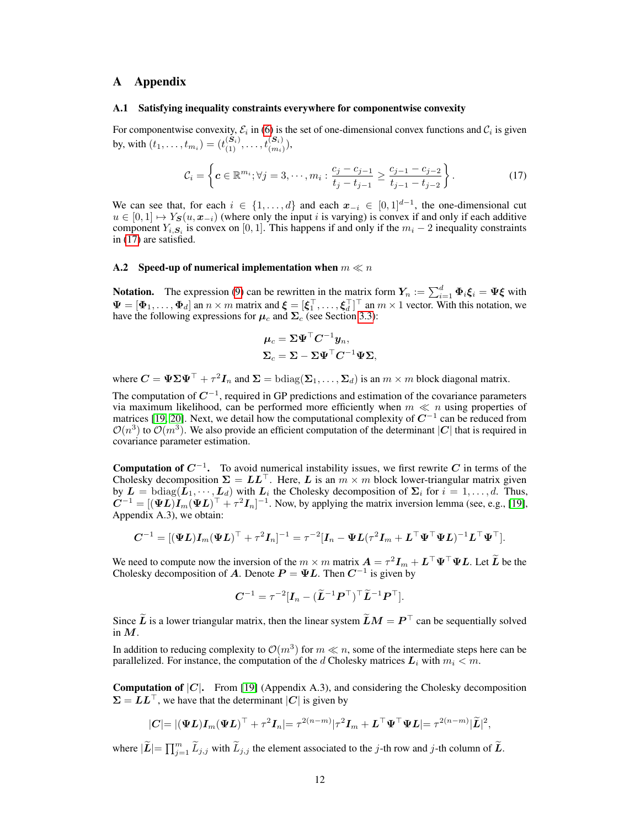# <span id="page-11-0"></span>A Appendix

## <span id="page-11-1"></span>A.1 Satisfying inequality constraints everywhere for componentwise convexity

For componentwise convexity,  $\mathcal{E}_i$  in [\(6\)](#page-2-4) is the set of one-dimensional convex functions and  $\mathcal{C}_i$  is given by, with  $(t_1, \ldots, t_{m_i}) = (t_{(1)}^{(S_i)}, \ldots, t_{(m_i)}^{(S_i)}),$ 

<span id="page-11-3"></span>
$$
\mathcal{C}_i = \left\{ \mathbf{c} \in \mathbb{R}^{m_i}; \forall j = 3, \cdots, m_i : \frac{c_j - c_{j-1}}{t_j - t_{j-1}} \ge \frac{c_{j-1} - c_{j-2}}{t_{j-1} - t_{j-2}} \right\}.
$$
 (17)

We can see that, for each  $i \in \{1, \ldots, d\}$  and each  $x_{-i} \in [0, 1]^{d-1}$ , the one-dimensional cut  $u \in [0,1] \mapsto Y_{\mathcal{S}}(u, x_{-i})$  (where only the input i is varying) is convex if and only if each additive component  $Y_{i, S_i}$  is convex on [0, 1]. This happens if and only if the  $m_i - 2$  inequality constraints in [\(17\)](#page-11-3) are satisfied.

## <span id="page-11-2"></span>A.2 Speed-up of numerical implementation when  $m \ll n$

**Notation.** The expression [\(9\)](#page-3-5) can be rewritten in the matrix form  $Y_n := \sum_{i=1}^d \Phi_i \xi_i = \Psi \xi$  with  $\Psi = [\Phi_1, \dots, \Phi_d]$  an  $n \times m$  matrix and  $\xi = [\xi_1^\top, \dots, \xi_d^\top]^\top$  an  $m \times 1$  vector. With this notation, we have the following expressions for  $\mu_c$  and  $\Sigma_c$  (see Section [3.3\)](#page-3-0):

$$
\mu_c = \Sigma \Psi^{\top} C^{-1} y_n,
$$
  

$$
\Sigma_c = \Sigma - \Sigma \Psi^{\top} C^{-1} \Psi \Sigma,
$$

where  $C = \Psi \Sigma \Psi^{\top} + \tau^2 I_n$  and  $\Sigma = \text{bdiag}(\Sigma_1, \dots, \Sigma_d)$  is an  $m \times m$  block diagonal matrix.

The computation of  $C^{-1}$ , required in GP predictions and estimation of the covariance parameters via maximum likelihood, can be performed more efficiently when  $m \ll n$  using properties of matrices [\[19,](#page-10-3) [20\]](#page-10-4). Next, we detail how the computational complexity of  $C^{-1}$  can be reduced from  $\mathcal{O}(n^3)$  to  $\mathcal{O}(m^3)$ . We also provide an efficient computation of the determinant  $|\mathbf{C}|$  that is required in covariance parameter estimation.

**Computation of**  $C^{-1}$ **.** To avoid numerical instability issues, we first rewrite C in terms of the Cholesky decomposition  $\Sigma = LL^{\top}$ . Here, L is an  $m \times m$  block lower-triangular matrix given by  $\mathbf{L} = \text{bdiag}(\mathbf{L}_1, \dots, \mathbf{L}_d)$  with  $\mathbf{L}_i$  the Cholesky decomposition of  $\Sigma_i$  for  $i = 1, \dots, d$ . Thus,  $C^{-1} = [(\Psi L)I_m(\Psi L)^\top + \tau^2 I_n]^{-1}$ . Now, by applying the matrix inversion lemma (see, e.g., [\[19\]](#page-10-3), Appendix A.3), we obtain:

$$
\boldsymbol{C}^{-1}=[(\boldsymbol{\Psi}\boldsymbol{L})\boldsymbol{I}_m(\boldsymbol{\Psi}\boldsymbol{L})^{\top}+\tau^2\boldsymbol{I}_n]^{-1}=\tau^{-2}[\boldsymbol{I}_n-\boldsymbol{\Psi}\boldsymbol{L}(\tau^2\boldsymbol{I}_m+\boldsymbol{L}^{\top}\boldsymbol{\Psi}^{\top}\boldsymbol{\Psi}\boldsymbol{L})^{-1}\boldsymbol{L}^{\top}\boldsymbol{\Psi}^{\top}].
$$

We need to compute now the inversion of the  $m \times m$  matrix  $\mathbf{A} = \tau^2 \mathbf{I}_m + \mathbf{L}^\top \mathbf{\Psi}^\top \mathbf{\Psi} \mathbf{L}$ . Let  $\mathbf{L}$  be the Cholesky decomposition of A. Denote  $P = \Psi L$ . Then  $C^{-1}$  is given by

$$
\boldsymbol{C}^{-1} = \tau^{-2} [\boldsymbol{I}_n - (\widetilde{\boldsymbol{L}}^{-1} \boldsymbol{P}^\top)^\top \widetilde{\boldsymbol{L}}^{-1} \boldsymbol{P}^\top].
$$

Since  $\widetilde{L}$  is a lower triangular matrix, then the linear system  $\widetilde{L}M = P^{\top}$  can be sequentially solved in  $M$ .

In addition to reducing complexity to  $\mathcal{O}(m^3)$  for  $m \ll n$ , some of the intermediate steps here can be parallelized. For instance, the computation of the d Cholesky matrices  $L_i$  with  $m_i < m$ .

**Computation of**  $|C|$ **.** From [\[19\]](#page-10-3) (Appendix A.3), and considering the Cholesky decomposition  $\Sigma = LL^{\top}$ , we have that the determinant |C| is given by

$$
|\mathbf{C}|=|(\mathbf{\Psi}\mathbf{L})\mathbf{I}_m(\mathbf{\Psi}\mathbf{L})^{\top}+\tau^2\mathbf{I}_n|=\tau^{2(n-m)}|\tau^2\mathbf{I}_m+\mathbf{L}^{\top}\mathbf{\Psi}^{\top}\mathbf{\Psi}\mathbf{L}|=\tau^{2(n-m)}|\widetilde{\mathbf{L}}|^2,
$$

where  $|\widetilde{L}| = \prod_{j=1}^m \widetilde{L}_{j,j}$  with  $\widetilde{L}_{j,j}$  the element associated to the j-th row and j-th column of  $\widetilde{L}$ .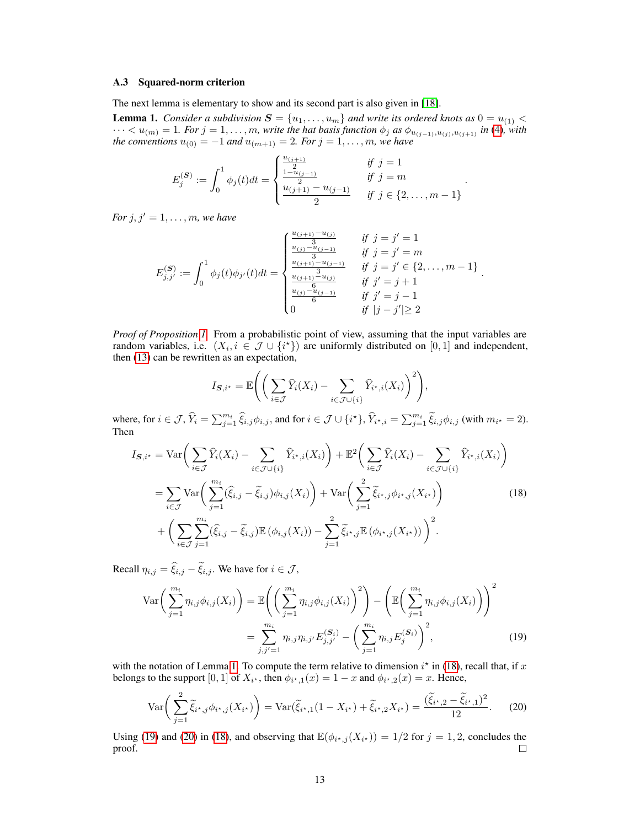## <span id="page-12-0"></span>A.3 Squared-norm criterion

The next lemma is elementary to show and its second part is also given in [\[18\]](#page-10-2).

<span id="page-12-1"></span>**Lemma 1.** *Consider a subdivision*  $S = \{u_1, \ldots, u_m\}$  *and write its ordered knots as*  $0 = u_{(1)}$  <  $\cdots < u_{(m)} = 1$ *. For*  $j = 1, \ldots, m$ *, write the hat basis function*  $\phi_j$  *as*  $\phi_{u_{(j-1)}, u_{(j)}, u_{(j+1)}}$  *in* [\(4\)](#page-2-5)*, with the conventions*  $u_{(0)} = -1$  *and*  $u_{(m+1)} = 2$ *. For*  $j = 1, \ldots, m$ *, we have* 

$$
E_j^{(\mathcal{S})} := \int_0^1 \phi_j(t)dt = \begin{cases} \frac{u_{(j+1)}}{2} & \text{if } j = 1\\ \frac{u_{(j+1)}}{2} & \text{if } j = m\\ \frac{u_{(j+1)} - u_{(j-1)}}{2} & \text{if } j \in \{2, \dots, m-1\} \end{cases}
$$

<span id="page-12-2"></span>.

*For*  $j, j' = 1, ..., m$ *, we have* 

Then

$$
E_{j,j'}^{(\mathbf{S})} := \int_0^1 \phi_j(t)\phi_{j'}(t)dt = \begin{cases} \frac{u_{(j+1)} - u_{(j)}}{3} & \text{if } j = j' = 1\\ \frac{u_{(j)} - u_{(j-1)}}{3} & \text{if } j = j' = m\\ \frac{u_{(j+1)} - u_{(j-1)}}{3} & \text{if } j = j' \in \{2, ..., m-1\}\\ \frac{u_{(j+1)} - u_{(j)}}{6} & \text{if } j' = j + 1\\ \frac{u_{(j)} - u_{(j-1)}}{6} & \text{if } j' = j - 1\\ 0 & \text{if } |j - j'| \ge 2 \end{cases}.
$$

*Proof of Proposition [1.](#page-4-3)* From a probabilistic point of view, assuming that the input variables are random variables, i.e.  $(X_i, i \in \mathcal{J} \cup \{i^*\})$  are uniformly distributed on  $[0, 1]$  and independent, then [\(13\)](#page-4-1) can be rewritten as an expectation,

$$
I_{\mathcal{S},i^*} = \mathbb{E}\Bigg(\bigg(\sum_{i\in\mathcal{J}}\widehat{Y}_i(X_i) - \sum_{i\in\mathcal{J}\cup\{i\}}\widehat{Y}_{i^*,i}(X_i)\bigg)^2\Bigg),
$$
  
where, for  $i \in \mathcal{J}, \widehat{Y}_i = \sum_{j=1}^{m_i} \widehat{\xi}_{i,j}\phi_{i,j}$ , and for  $i \in \mathcal{J}\cup\{i^*\}, \widehat{Y}_{i^*,i} = \sum_{j=1}^{m_i} \widetilde{\xi}_{i,j}\phi_{i,j}$  (with  $m_{i^*} = 2$ ).  
Then  

$$
I_{\mathcal{S},i^*} = \text{Var}\bigg(\sum \widehat{Y}_i(X_i) - \sum_{i\in\mathcal{S}}\widehat{Y}_{i^*,i}(X_i)\bigg) + \mathbb{E}^2\bigg(\sum \widehat{Y}_i(X_i) - \sum_{i\in\mathcal{S}}\widehat{Y}_{i^*,i}(X_i)\bigg)
$$

$$
I_{\mathcal{S},i^{*}} = \text{Var}\bigg(\sum_{i\in\mathcal{J}}\widehat{Y}_{i}(X_{i}) - \sum_{i\in\mathcal{J}\cup\{i\}}\widehat{Y}_{i^{*},i}(X_{i})\bigg) + \mathbb{E}^{2}\bigg(\sum_{i\in\mathcal{J}}\widehat{Y}_{i}(X_{i}) - \sum_{i\in\mathcal{J}\cup\{i\}}\widehat{Y}_{i^{*},i}(X_{i})\bigg) = \sum_{i\in\mathcal{J}}\text{Var}\bigg(\sum_{j=1}^{m_{i}}(\widehat{\xi}_{i,j}-\widetilde{\xi}_{i,j})\phi_{i,j}(X_{i})\bigg) + \text{Var}\bigg(\sum_{j=1}^{2}\widetilde{\xi}_{i^{*},j}\phi_{i^{*},j}(X_{i^{*}})\bigg) + \bigg(\sum_{i\in\mathcal{J}}\sum_{j=1}^{m_{i}}(\widehat{\xi}_{i,j}-\widetilde{\xi}_{i,j})\mathbb{E}(\phi_{i,j}(X_{i})) - \sum_{j=1}^{2}\widetilde{\xi}_{i^{*},j}\mathbb{E}(\phi_{i^{*},j}(X_{i^{*}}))\bigg)^{2}.
$$
 (18)

Recall  $\eta_{i,j} = \hat{\xi}_{i,j} - \tilde{\xi}_{i,j}$ . We have for  $i \in \mathcal{J}$ ,

$$
\operatorname{Var}\left(\sum_{j=1}^{m_i} \eta_{i,j} \phi_{i,j}(X_i)\right) = \mathbb{E}\left(\left(\sum_{j=1}^{m_i} \eta_{i,j} \phi_{i,j}(X_i)\right)^2\right) - \left(\mathbb{E}\left(\sum_{j=1}^{m_i} \eta_{i,j} \phi_{i,j}(X_i)\right)\right)^2
$$

$$
= \sum_{j,j'=1}^{m_i} \eta_{i,j} \eta_{i,j'} E_{j,j'}^{(\mathcal{S}_i)} - \left(\sum_{j=1}^{m_i} \eta_{i,j} E_j^{(\mathcal{S}_i)}\right)^2, \tag{19}
$$

with the notation of Lemma [1.](#page-12-1) To compute the term relative to dimension  $i^*$  in [\(18\)](#page-12-2), recall that, if x belongs to the support [0, 1] of  $X_{i^*}$ , then  $\phi_{i^*1}(x) = 1 - x$  and  $\phi_{i^*2}(x) = x$ . Hence,

<span id="page-12-4"></span><span id="page-12-3"></span>
$$
\text{Var}\bigg(\sum_{j=1}^{2}\widetilde{\xi}_{i^*,j}\phi_{i^*,j}(X_{i^*})\bigg) = \text{Var}(\widetilde{\xi}_{i^*,1}(1-X_{i^*}) + \widetilde{\xi}_{i^*,2}X_{i^*}) = \frac{(\widetilde{\xi}_{i^*,2} - \widetilde{\xi}_{i^*,1})^2}{12}.\tag{20}
$$

Using [\(19\)](#page-12-3) and [\(20\)](#page-12-4) in [\(18\)](#page-12-2), and observing that  $\mathbb{E}(\phi_{i^*,j}(X_{i^*})) = 1/2$  for  $j = 1, 2$ , concludes the proof.  $\Box$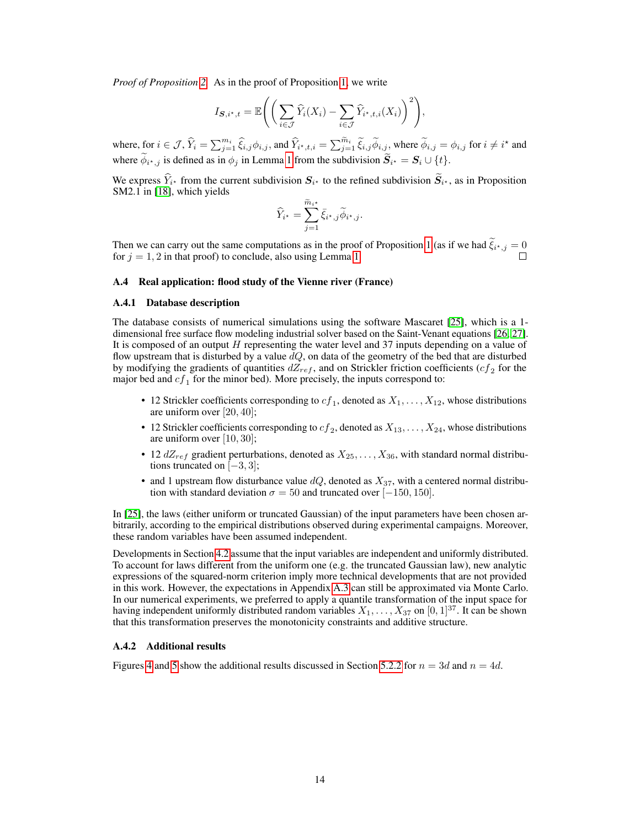*Proof of Proposition [2.](#page-5-2)* As in the proof of Proposition [1,](#page-4-3) we write

$$
I_{\mathbf{S},i^{\star},t} = \mathbb{E}\Bigg(\bigg(\sum_{i\in\mathcal{J}}\widehat{Y}_i(X_i) - \sum_{i\in\mathcal{J}}\widehat{Y}_{i^{\star},t,i}(X_i)\bigg)^2\Bigg),\,
$$

where, for  $i \in \mathcal{J}$ ,  $\widehat{Y}_i = \sum_{j=1}^{m_i} \widehat{\xi}_{i,j} \phi_{i,j}$ , and  $\widehat{Y}_{i^*,t,i} = \sum_{j=1}^{\widetilde{m}_i} \widetilde{\xi}_{i,j} \widetilde{\phi}_{i,j}$ , where  $\widetilde{\phi}_{i,j} = \phi_{i,j}$  for  $i \neq i^*$  and where  $\phi_{i^*,j}$  is defined as in  $\phi_j$  in Lemma [1](#page-12-1) from the subdivision  $S_{i^*} = S_i \cup \{t\}$ .

We express  $Y_{i^*}$  from the current subdivision  $S_{i^*}$  to the refined subdivision  $S_{i^*}$ , as in Proposition SM2.1 in [\[18\]](#page-10-2), which yields

$$
\widehat{Y}_{i^{\star}} = \sum_{j=1}^{\widetilde{m}_{i^{\star}}} \bar{\xi}_{i^{\star},j} \widetilde{\phi}_{i^{\star},j}.
$$

Then we can carry out the same computations as in the proof of Proposition [1](#page-4-3) (as if we had  $\xi_{i^*,j} = 0$ for  $j = 1, 2$  in that proof) to conclude, also using Lemma [1.](#page-12-1)

# A.4 Real application: flood study of the Vienne river (France)

## <span id="page-13-0"></span>A.4.1 Database description

The database consists of numerical simulations using the software Mascaret [\[25\]](#page-10-9), which is a 1 dimensional free surface flow modeling industrial solver based on the Saint-Venant equations [\[26,](#page-10-10) [27\]](#page-10-11). It is composed of an output  $H$  representing the water level and 37 inputs depending on a value of flow upstream that is disturbed by a value  $dQ$ , on data of the geometry of the bed that are disturbed by modifying the gradients of quantities  $dZ_{ref}$ , and on Strickler friction coefficients ( $cf_2$  for the major bed and  $cf_1$  for the minor bed). More precisely, the inputs correspond to:

- 12 Strickler coefficients corresponding to  $cf_1$ , denoted as  $X_1, \ldots, X_{12}$ , whose distributions are uniform over [20, 40];
- 12 Strickler coefficients corresponding to  $cf_2$ , denoted as  $X_{13}, \ldots, X_{24}$ , whose distributions are uniform over [10, 30];
- 12  $dZ_{ref}$  gradient perturbations, denoted as  $X_{25}, \ldots, X_{36}$ , with standard normal distributions truncated on  $[-3, 3]$ ;
- and 1 upstream flow disturbance value  $dQ$ , denoted as  $X_{37}$ , with a centered normal distribution with standard deviation  $\sigma = 50$  and truncated over [-150, 150].

In [\[25\]](#page-10-9), the laws (either uniform or truncated Gaussian) of the input parameters have been chosen arbitrarily, according to the empirical distributions observed during experimental campaigns. Moreover, these random variables have been assumed independent.

Developments in Section [4.2](#page-4-4) assume that the input variables are independent and uniformly distributed. To account for laws different from the uniform one (e.g. the truncated Gaussian law), new analytic expressions of the squared-norm criterion imply more technical developments that are not provided in this work. However, the expectations in Appendix [A.3](#page-12-0) can still be approximated via Monte Carlo. In our numerical experiments, we preferred to apply a quantile transformation of the input space for having independent uniformly distributed random variables  $X_1, \ldots, X_{37}$  on  $[0, 1]^{37}$ . It can be shown that this transformation preserves the monotonicity constraints and additive structure.

## <span id="page-13-1"></span>A.4.2 Additional results

Figures [4](#page-14-0) and [5](#page-14-1) show the additional results discussed in Section [5.2.2](#page-7-4) for  $n = 3d$  and  $n = 4d$ .